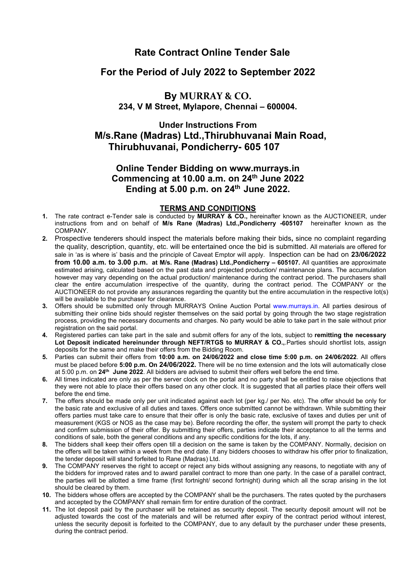# **Rate Contract Online Tender Sale**

## **For the Period of July 2022 to September 2022**

## **By MURRAY & CO. 234, V M Street, Mylapore, Chennai – 600004.**

### **Under Instructions From M/s.Rane (Madras) Ltd.,Thirubhuvanai Main Road, Thirubhuvanai, Pondicherry- 605 107**

## **Online Tender Bidding on www.murrays.in Commencing at 10.00 a.m. on 24 th June 2022 Ending at 5.00 p.m. on 24 th June 2022.**

#### **TERMS AND CONDITIONS**

- **1.** The rate contract e-Tender sale is conducted by **MURRAY & CO.,** hereinafter known as the AUCTIONEER, under instructions from and on behalf of **M/s Rane (Madras) Ltd.,Pondicherry -605107** hereinafter known as the COMPANY.
- **2.** Prospective tenderers should inspect the materials before making their bids**,** since no complaint regarding the quality, description, quantity, etc. will be entertained once the bid issubmitted. All materials are offered for sale in 'as is where is' basis and the principle of Caveat Emptor will apply. Inspection can be had on **23/06/2022 from 10.00 a.m. to 3.00 p.m. at M/s. Rane (Madras) Ltd.,Pondicherry – 605107.** Allquantities are approximate estimated arising, calculated based on the past data and projected production/maintenance plans. The accumulation however may vary depending on the actual production/ maintenance during the contract period. The purchasers shall clear the entire accumulation irrespective of the quantity, during the contract period. The COMPANY or the AUCTIONEER do not provide any assurances regarding the quantity but the entire accumulation in the respective lot(s) will be available to the purchaser for clearance.
- **3.** Offers should be submitted only through MURRAYS Online Auction Portal [www.murrays.in](http://www.murrays.in/). All parties desirous of submitting their online bids should register themselves on the said portal by going through the two stage registration process, providing the necessary documents and charges. No party would be able to take part in the sale without prior registration on the said portal.
- **4.** Registered parties can take part in the sale and submitoffers for any of the lots, subject to **remitting the necessary Lot Deposit indicated hereinunder through NEFT/RTGS to MURRAY & CO.,**.Parties should shortlist lots, assign deposits for the same and make their offers from the Bidding Room.
- **5.** Parties can submit their offers from **10:00 a.m. on 24/06/2022 and close time 5:00 p.m. on 24/06/2022**. All offers must be placed before **5:00 p.m. On 24/06/2022.** There will be no time extension and the lots will automatically close at 5:00 p.m. on **24 th June 2022**. All bidders are advised to submit their offers well before the end time.
- 6. All times indicated are only as per the server clock on the portal and no party shall be entitled to raise objections that they were notable to place their offers based on any other clock. It is suggested that all parties place their offers well before the end time.
- **7.** The offers should be made only per unit indicated against each lot (per kg./ per No. etc). The offer should be only for the basic rate and exclusive of all duties and taxes. Offers once submitted cannot be withdrawn. While submitting their offers parties must take care to ensure that their offer is only the basic rate, exclusive of taxes and duties per unit of measurement (KGS or NOS as the case may be). Before recording the offer, the system will prompt the party to check and confirm submission of their offer. By submitting their offers, parties indicate their acceptance to all the terms and conditions of sale, both the general conditions and any specific conditions for the lots, if any.
- 8. The bidders shall keep their offers open till a decision on the same is taken by the COMPANY. Normally, decision on the offers will be taken within a week from the end date. If any bidders chooses to withdraw his offer prior to finalization, the tender deposit will stand forfeited to Rane (Madras) Ltd.
- **9.** The COMPANY reserves the right to accept or reject any bids without assigning any reasons, to negotiate with any of the bidders for improved rates and to award parallel contract to more than one party. In the case of a parallel contract, the parties will be allotted a time frame (first fortnight/ second fortnight) during which all the scrap arising in the lot should be cleared by them.
- **10.** The bidders whose offers are accepted by the COMPANY shall be the purchasers. The rates quoted by the purchasers and accepted by the COMPANY shall remain firm for entire duration of the contract.
- **11.** The lot deposit paid by the purchaser will be retained as security deposit. The security deposit amount will not be adjusted towards the cost of the materials and will be returned after expiry of the contract period without interest, unless the security deposit is forfeited to the COMPANY, due to any default by the purchaser under these presents, during the contract period.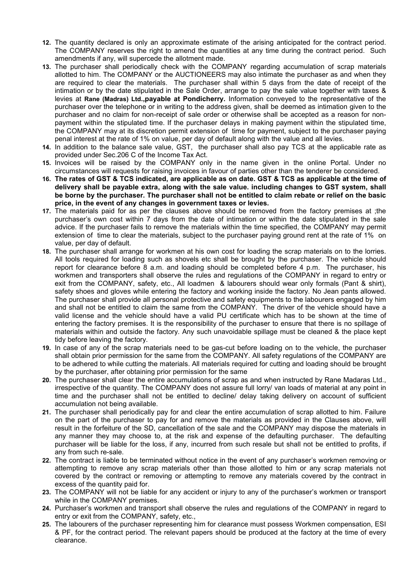- **12.** The quantity declared is only an approximate estimate of the arising anticipated for the contract period. The COMPANY reserves the right to amend the quantities at any time during the contract period. Such amendments if any, will supercede the allotment made.
- **13.** The purchaser shall periodically check with the COMPANY regarding accumulation of scrap materials allotted to him. The COMPANY or the AUCTIONEERS may also intimate the purchaser as and when they are required to clear the materials. The purchaser shall within 5 days from the date of receipt of the intimation or by the date stipulated in the Sale Order, arrange to pay the sale value together with taxes & levies at **Rane (Madras) Ltd.,payable at Pondicherry.** Information conveyed to the representative of the purchaser over the telephone or in writing to the address given, shall be deemed as intimation given to the purchaser and no claim for non-receipt of sale order or otherwise shall be accepted as a reason for nonpayment within the stipulated time. If the purchaser delays in making payment within the stipulated time, the COMPANY may at its discretion permit extension of time for payment, subject to the purchaser paying penal interest at the rate of 1% on value, per day of default along with the value and all levies.
- **14.** In addition to the balance sale value, GST, the purchaser shall also pay TCS at the applicable rate as provided under Sec.206 C of the Income Tax Act.
- **15.** Invoices will be raised by the COMPANY only in the name given in the online Portal. Under no circumstances will requests for raising invoices in favour of parties other than the tenderer be considered.
- 16. The rates of GST & TCS indicated, are applicable as on date. GST & TCS as applicable at the time of **delivery shall be payable extra, along with the sale value. including changes to GST system, shall** be borne by the purchaser. The purchaser shall not be entitled to claim rebate or relief on the basic **price, in the event of any changes in government taxes or levies.**
- **17.** The materials paid for as per the clauses above should be removed from the factory premises at ;the purchaser's own cost within 7 days from the date of intimation or within the date stipulated in the sale advice. If the purchaser fails to remove the materials within the time specified, the COMPANY may permit extension of time to clear the materials, subject to the purchaser paying ground rent at the rate of 1% on value, per day of default.
- **18.** The purchaser shall arrange for workmen at his own cost for loading the scrap materials on to the lorries. All tools required for loading such as shovels etc shall be brought by the purchaser. The vehicle should report for clearance before 8 a.m. and loading should be completed before 4 p.m. The purchaser, his workmen and transporters shall observe the rules and regulations of the COMPANY in regard to entry or exit from the COMPANY, safety, etc., All loadmen & labourers should wear only formals (Pant & shirt), safety shoes and gloves while entering the factory and working inside the factory. No Jean pants allowed. The purchaser shall provide all personal protective and safety equipments to the labourers engaged by him and shall not be entitled to claim the same from the COMPANY. The driver of the vehicle should have a valid license and the vehicle should have a valid PU certificate which has to be shown at the time of entering the factory premises. It is the responsibility of the purchaser to ensure that there is no spillage of materials within and outside the factory. Any such unavoidable spillage must be cleaned & the place kept tidy before leaving the factory.
- **19.** In case of any of the scrap materials need to be gas-cut before loading on to the vehicle, the purchaser shall obtain prior permission for the same from the COMPANY. All safety regulations of the COMPANY are to be adhered to while cutting the materials. All materials required for cutting and loading should be brought by the purchaser, after obtaining prior permission for the same
- **20.** The purchaser shall clear the entire accumulations of scrap as and when instructed by Rane Madaras Ltd., irrespective of the quantity. The COMPANY does not assure full lorry/ van loads of material at any point in time and the purchaser shall not be entitled to decline/delay taking delivery on account of sufficient accumulation not being available.
- **21.** The purchaser shall periodically pay for and clear the entire accumulation of scrap allotted to him. Failure on the part of the purchaser to pay for and remove the materials as provided in the Clauses above, will result in the forfeiture of the SD, cancellation of the sale and the COMPANY may dispose the materials in any manner they may choose to, at the risk and expense of the defaulting purchaser. The defaulting purchaser will be liable for the loss, if any, incurred from such resale but shall not be entitled to profits, if any from such re-sale.
- **22.** The contract is liable to be terminated without notice in the event of any purchaser's workmen removing or attempting to remove any scrap materials other than those allotted to him or any scrap materials not covered by the contract or removing or attempting to remove any materials covered by the contract in excess of the quantity paid for.
- 23. The COMPANY will not be liable for any accident or injury to any of the purchaser's workmen or transport while in the COMPANY premises.
- **24.** Purchaser's workmen and transport shall observe the rules and regulations of the COMPANY in regard to entry or exit from the COMPANY, safety, etc.,
- **25.** The labourers of the purchaser representing him for clearance must possess Workmen compensation, ESI & PF, for the contract period. The relevant papers should be produced at the factory at the time of every clearance.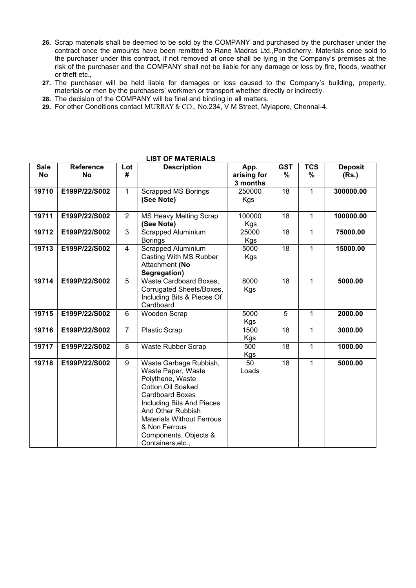- **26.** Scrap materials shall be deemed to be sold by the COMPANY and purchased by the purchaser under the contract once the amounts have been remitted to Rane Madras Ltd.,Pondicherry. Materials once sold to the purchaser under this contract, if not removed at once shall be lying in the Company's premises at the risk of the purchaser and the COMPANY shall not be liable forany damage or loss by fire, floods, weather or theft etc.,
- **27.** The purchaser will be held liable for damages or loss caused to the Company's building, property, materials or men by the purchasers' workmen or transport whether directly or indirectly.
- **28.** The decision of the COMPANY will be final and binding in all matters.
- **29.** For other Conditions contact MURRAY & CO., No.234, V M Street, Mylapore, Chennai-4.

| <b>Sale</b><br><b>No</b> | <b>Reference</b><br><b>No</b> | Lot<br>#       | <b>Description</b>                                                                                                                                                                                                                                                    | App.<br>arising for<br>3 months | <b>GST</b><br>$\frac{9}{6}$ | <b>TCS</b><br>$\%$ | <b>Deposit</b><br>(Rs.) |  |
|--------------------------|-------------------------------|----------------|-----------------------------------------------------------------------------------------------------------------------------------------------------------------------------------------------------------------------------------------------------------------------|---------------------------------|-----------------------------|--------------------|-------------------------|--|
| 19710                    | E199P/22/S002                 | 1              | <b>Scrapped MS Borings</b><br>(See Note)                                                                                                                                                                                                                              | 250000<br>Kgs                   | 18                          | 1                  | 300000.00               |  |
| 19711                    | E199P/22/S002                 | $\overline{2}$ | <b>MS Heavy Melting Scrap</b><br>(See Note)                                                                                                                                                                                                                           | 100000<br>Kgs                   | 18                          | 1                  | 100000.00               |  |
| 19712                    | E199P/22/S002                 | 3              | <b>Scrapped Aluminium</b><br><b>Borings</b>                                                                                                                                                                                                                           | 25000<br>Kgs                    | 18                          | 1                  | 75000.00                |  |
| 19713                    | E199P/22/S002                 | 4              | <b>Scrapped Aluminium</b><br>Casting With MS Rubber<br>Attachment (No<br>Segregation)                                                                                                                                                                                 | 5000<br>Kgs                     | 18                          | 1                  | 15000.00                |  |
| 19714                    | E199P/22/S002                 | 5              | Waste Cardboard Boxes,<br>Corrugated Sheets/Boxes,<br>Including Bits & Pieces Of<br>Cardboard                                                                                                                                                                         | 8000<br>Kgs                     | 18                          | 1                  | 5000.00                 |  |
| 19715                    | E199P/22/S002                 | 6              | Wooden Scrap                                                                                                                                                                                                                                                          | 5000<br><b>Kgs</b>              | 5                           | $\mathbf{1}$       | 2000.00                 |  |
| 19716                    | E199P/22/S002                 | $\overline{7}$ | <b>Plastic Scrap</b>                                                                                                                                                                                                                                                  | 1500<br>Kgs                     | 18                          | 1                  | 3000.00                 |  |
| 19717                    | E199P/22/S002                 | 8              | Waste Rubber Scrap                                                                                                                                                                                                                                                    | 500<br>Kgs                      | 18                          | 1                  | 1000.00                 |  |
| 19718                    | E199P/22/S002                 | 9              | Waste Garbage Rubbish,<br>Waste Paper, Waste<br>Polythene, Waste<br>Cotton, Oil Soaked<br><b>Cardboard Boxes</b><br>Including Bits And Pieces<br>And Other Rubbish<br><b>Materials Without Ferrous</b><br>& Non Ferrous<br>Components, Objects &<br>Containers, etc., | 50<br>Loads                     | 18                          | 1                  | 5000.00                 |  |

#### **LIST OF MATERIALS**